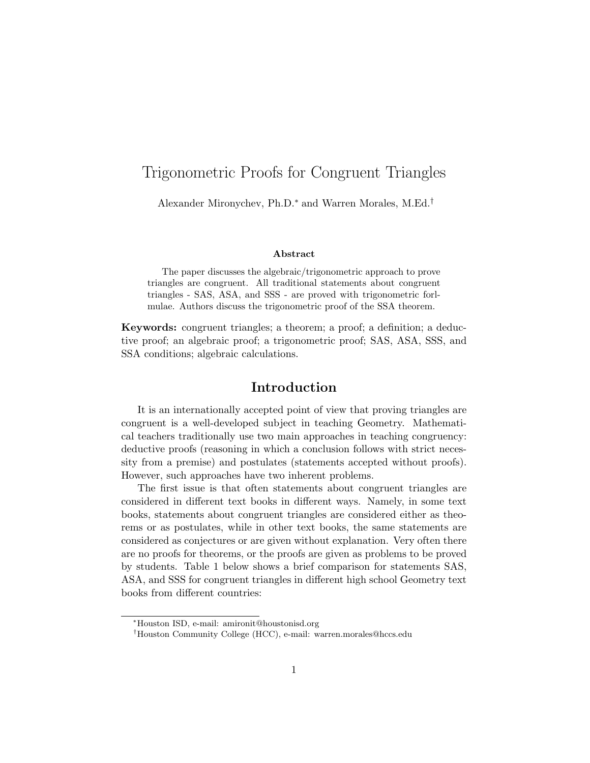# Trigonometric Proofs for Congruent Triangles

Alexander Mironychev, Ph.D.<sup>∗</sup> and Warren Morales, M.Ed.†

#### Abstract

The paper discusses the algebraic/trigonometric approach to prove triangles are congruent. All traditional statements about congruent triangles - SAS, ASA, and SSS - are proved with trigonometric forlmulae. Authors discuss the trigonometric proof of the SSA theorem.

Keywords: congruent triangles; a theorem; a proof; a definition; a deductive proof; an algebraic proof; a trigonometric proof; SAS, ASA, SSS, and SSA conditions; algebraic calculations.

### Introduction

It is an internationally accepted point of view that proving triangles are congruent is a well-developed subject in teaching Geometry. Mathematical teachers traditionally use two main approaches in teaching congruency: deductive proofs (reasoning in which a conclusion follows with strict necessity from a premise) and postulates (statements accepted without proofs). However, such approaches have two inherent problems.

The first issue is that often statements about congruent triangles are considered in different text books in different ways. Namely, in some text books, statements about congruent triangles are considered either as theorems or as postulates, while in other text books, the same statements are considered as conjectures or are given without explanation. Very often there are no proofs for theorems, or the proofs are given as problems to be proved by students. Table 1 below shows a brief comparison for statements SAS, ASA, and SSS for congruent triangles in different high school Geometry text books from different countries:

<sup>∗</sup>Houston ISD, e-mail: amironit@houstonisd.org

<sup>†</sup>Houston Community College (HCC), e-mail: warren.morales@hccs.edu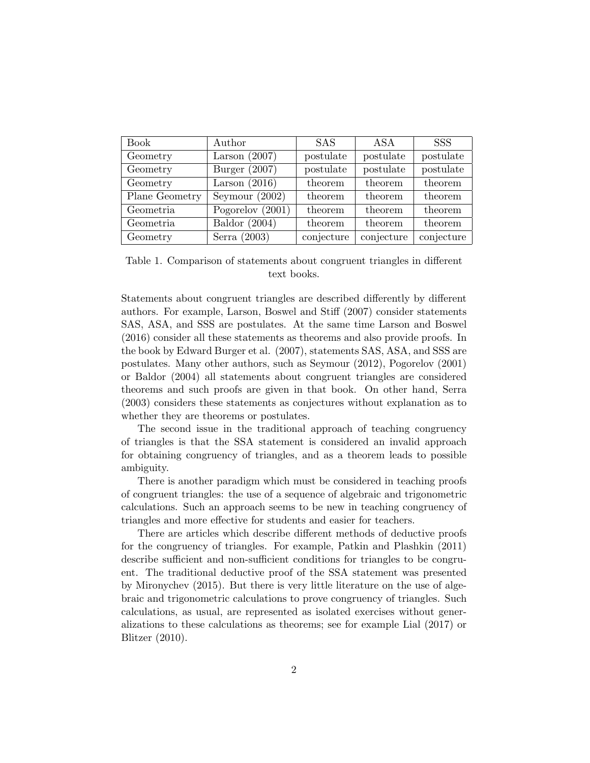| <b>Book</b>    | Author             | <b>SAS</b> | ASA        | <b>SSS</b> |
|----------------|--------------------|------------|------------|------------|
| Geometry       | Larson $(2007)$    | postulate  | postulate  | postulate  |
| Geometry       | Burger $(2007)$    | postulate  | postulate  | postulate  |
| Geometry       | Larson $(2016)$    | theorem    | theorem    | theorem    |
| Plane Geometry | Seymour $(2002)$   | theorem    | theorem    | theorem    |
| Geometria      | Pogorelov $(2001)$ | theorem    | theorem    | theorem    |
| Geometria      | Baldor $(2004)$    | theorem    | theorem    | theorem    |
| Geometry       | Serra $(2003)$     | conjecture | conjecture | conjecture |

Table 1. Comparison of statements about congruent triangles in different text books.

Statements about congruent triangles are described differently by different authors. For example, Larson, Boswel and Stiff (2007) consider statements SAS, ASA, and SSS are postulates. At the same time Larson and Boswel (2016) consider all these statements as theorems and also provide proofs. In the book by Edward Burger et al. (2007), statements SAS, ASA, and SSS are postulates. Many other authors, such as Seymour (2012), Pogorelov (2001) or Baldor (2004) all statements about congruent triangles are considered theorems and such proofs are given in that book. On other hand, Serra (2003) considers these statements as conjectures without explanation as to whether they are theorems or postulates.

The second issue in the traditional approach of teaching congruency of triangles is that the SSA statement is considered an invalid approach for obtaining congruency of triangles, and as a theorem leads to possible ambiguity.

There is another paradigm which must be considered in teaching proofs of congruent triangles: the use of a sequence of algebraic and trigonometric calculations. Such an approach seems to be new in teaching congruency of triangles and more effective for students and easier for teachers.

There are articles which describe different methods of deductive proofs for the congruency of triangles. For example, Patkin and Plashkin (2011) describe sufficient and non-sufficient conditions for triangles to be congruent. The traditional deductive proof of the SSA statement was presented by Mironychev (2015). But there is very little literature on the use of algebraic and trigonometric calculations to prove congruency of triangles. Such calculations, as usual, are represented as isolated exercises without generalizations to these calculations as theorems; see for example Lial (2017) or Blitzer (2010).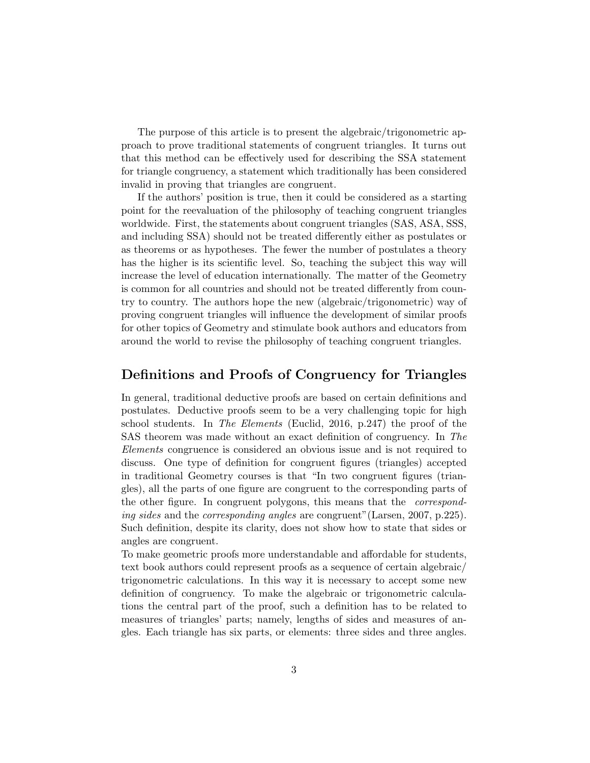The purpose of this article is to present the algebraic/trigonometric approach to prove traditional statements of congruent triangles. It turns out that this method can be effectively used for describing the SSA statement for triangle congruency, a statement which traditionally has been considered invalid in proving that triangles are congruent.

If the authors' position is true, then it could be considered as a starting point for the reevaluation of the philosophy of teaching congruent triangles worldwide. First, the statements about congruent triangles (SAS, ASA, SSS, and including SSA) should not be treated differently either as postulates or as theorems or as hypotheses. The fewer the number of postulates a theory has the higher is its scientific level. So, teaching the subject this way will increase the level of education internationally. The matter of the Geometry is common for all countries and should not be treated differently from country to country. The authors hope the new (algebraic/trigonometric) way of proving congruent triangles will influence the development of similar proofs for other topics of Geometry and stimulate book authors and educators from around the world to revise the philosophy of teaching congruent triangles.

### Definitions and Proofs of Congruency for Triangles

In general, traditional deductive proofs are based on certain definitions and postulates. Deductive proofs seem to be a very challenging topic for high school students. In The Elements (Euclid, 2016, p.247) the proof of the SAS theorem was made without an exact definition of congruency. In The Elements congruence is considered an obvious issue and is not required to discuss. One type of definition for congruent figures (triangles) accepted in traditional Geometry courses is that "In two congruent figures (triangles), all the parts of one figure are congruent to the corresponding parts of the other figure. In congruent polygons, this means that the correspond*ing sides* and the *corresponding angles* are congruent" (Larsen, 2007, p.225). Such definition, despite its clarity, does not show how to state that sides or angles are congruent.

To make geometric proofs more understandable and affordable for students, text book authors could represent proofs as a sequence of certain algebraic/ trigonometric calculations. In this way it is necessary to accept some new definition of congruency. To make the algebraic or trigonometric calculations the central part of the proof, such a definition has to be related to measures of triangles' parts; namely, lengths of sides and measures of angles. Each triangle has six parts, or elements: three sides and three angles.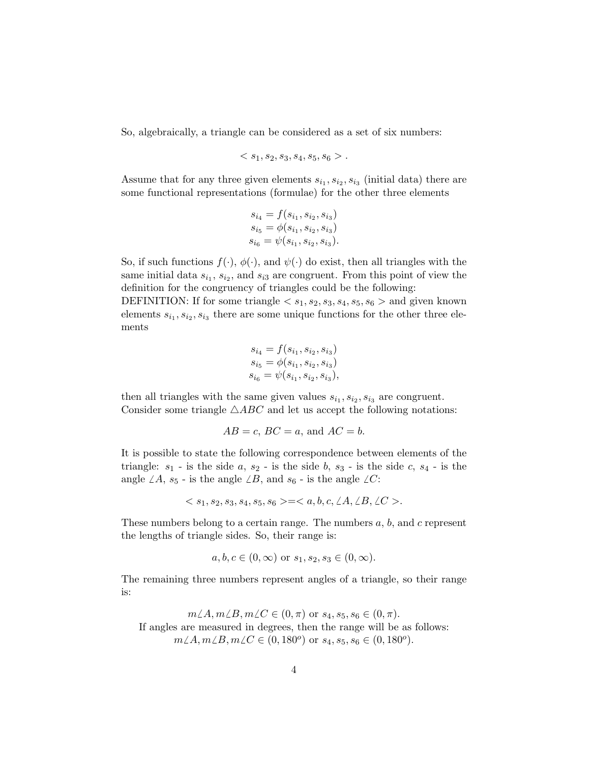So, algebraically, a triangle can be considered as a set of six numbers:

$$
.
$$

Assume that for any three given elements  $s_{i_1}, s_{i_2}, s_{i_3}$  (initial data) there are some functional representations (formulae) for the other three elements

$$
\begin{array}{l} s_{i_4} = f(s_{i_1},s_{i_2},s_{i_3}) \\ s_{i_5} = \phi(s_{i_1},s_{i_2},s_{i_3}) \\ s_{i_6} = \psi(s_{i_1},s_{i_2},s_{i_3}). \end{array}
$$

So, if such functions  $f(\cdot)$ ,  $\phi(\cdot)$ , and  $\psi(\cdot)$  do exist, then all triangles with the same initial data  $s_{i_1}, s_{i_2},$  and  $s_{i_3}$  are congruent. From this point of view the definition for the congruency of triangles could be the following:

DEFINITION: If for some triangle  $\langle s_1, s_2, s_3, s_4, s_5, s_6 \rangle$  and given known elements  $s_{i_1}, s_{i_2}, s_{i_3}$  there are some unique functions for the other three elements

$$
s_{i_4} = f(s_{i_1}, s_{i_2}, s_{i_3})
$$
  
\n
$$
s_{i_5} = \phi(s_{i_1}, s_{i_2}, s_{i_3})
$$
  
\n
$$
s_{i_6} = \psi(s_{i_1}, s_{i_2}, s_{i_3}),
$$

then all triangles with the same given values  $s_{i_1}, s_{i_2}, s_{i_3}$  are congruent. Consider some triangle  $\triangle ABC$  and let us accept the following notations:

$$
AB = c
$$
,  $BC = a$ , and  $AC = b$ .

It is possible to state the following correspondence between elements of the triangle:  $s_1$  - is the side  $a, s_2$  - is the side  $b, s_3$  - is the side  $c, s_4$  - is the angle  $\angle A$ ,  $s_5$  - is the angle  $\angle B$ , and  $s_6$  - is the angle  $\angle C$ :

$$
=.
$$

These numbers belong to a certain range. The numbers  $a, b$ , and  $c$  represent the lengths of triangle sides. So, their range is:

$$
a, b, c \in (0, \infty)
$$
 or  $s_1, s_2, s_3 \in (0, \infty)$ .

The remaining three numbers represent angles of a triangle, so their range is:

$$
m\angle A, m\angle B, m\angle C \in (0, \pi) \text{ or } s_4, s_5, s_6 \in (0, \pi).
$$
  
If angles are measured in degrees, then the range will be as follows:  

$$
m\angle A, m\angle B, m\angle C \in (0, 180^o) \text{ or } s_4, s_5, s_6 \in (0, 180^o).
$$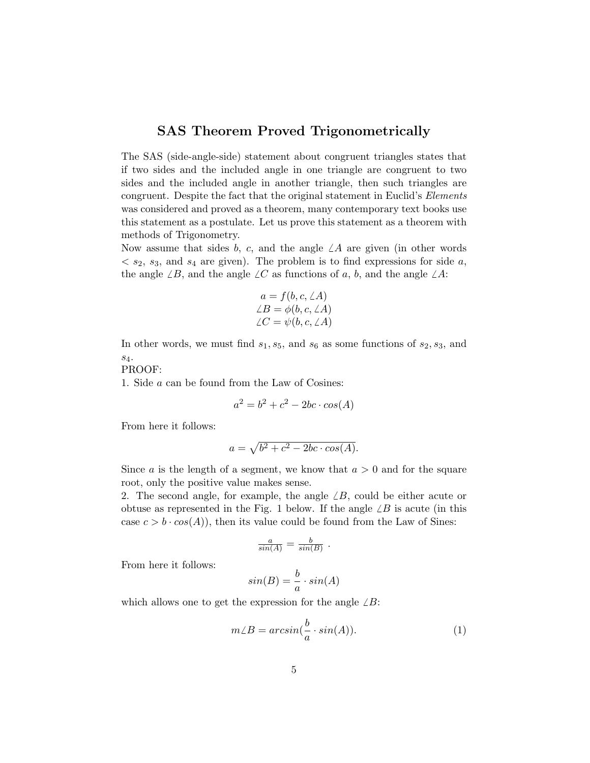## SAS Theorem Proved Trigonometrically

The SAS (side-angle-side) statement about congruent triangles states that if two sides and the included angle in one triangle are congruent to two sides and the included angle in another triangle, then such triangles are congruent. Despite the fact that the original statement in Euclid's Elements was considered and proved as a theorem, many contemporary text books use this statement as a postulate. Let us prove this statement as a theorem with methods of Trigonometry.

Now assume that sides b, c, and the angle  $\angle A$  are given (in other words  $\langle s_2, s_3, \rangle$  and  $s_4$  are given). The problem is to find expressions for side a, the angle  $\angle B$ , and the angle  $\angle C$  as functions of a, b, and the angle  $\angle A$ :

$$
a = f(b, c, \angle A)
$$
  

$$
\angle B = \phi(b, c, \angle A)
$$
  

$$
\angle C = \psi(b, c, \angle A)
$$

In other words, we must find  $s_1, s_5$ , and  $s_6$  as some functions of  $s_2, s_3$ , and s4.

PROOF:

1. Side a can be found from the Law of Cosines:

$$
a^2 = b^2 + c^2 - 2bc \cdot cos(A)
$$

From here it follows:

$$
a = \sqrt{b^2 + c^2 - 2bc \cdot \cos(A)}.
$$

Since a is the length of a segment, we know that  $a > 0$  and for the square root, only the positive value makes sense.

2. The second angle, for example, the angle  $\angle B$ , could be either acute or obtuse as represented in the Fig. 1 below. If the angle  $\angle B$  is acute (in this case  $c > b \cdot cos(A)$ , then its value could be found from the Law of Sines:

$$
\frac{a}{\sin(A)} = \frac{b}{\sin(B)}.
$$

From here it follows:

$$
sin(B) = \frac{b}{a} \cdot sin(A)
$$

which allows one to get the expression for the angle  $\angle B$ :

$$
m\angle B = \arcsin(\frac{b}{a} \cdot \sin(A)).
$$
 (1)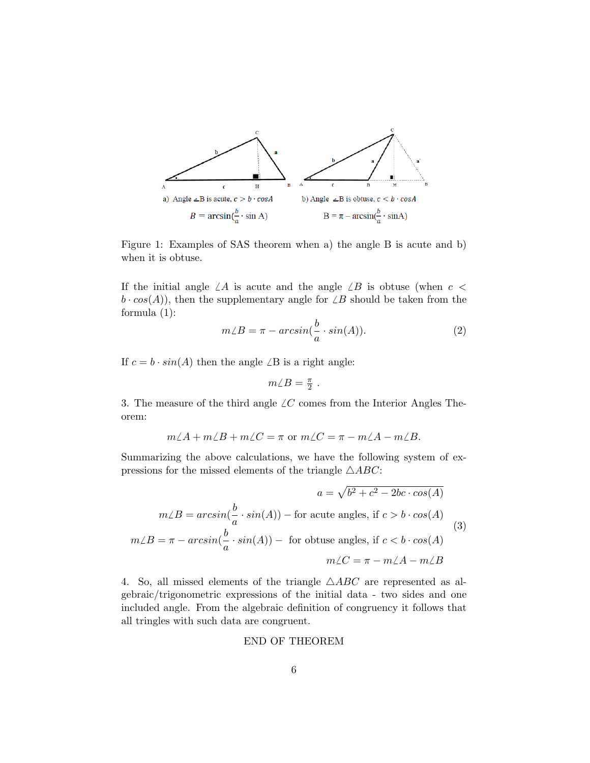

Figure 1: Examples of SAS theorem when a) the angle B is acute and b) when it is obtuse.

If the initial angle  $\angle A$  is acute and the angle  $\angle B$  is obtuse (when  $c <$  $b \cdot cos(A)$ , then the supplementary angle for  $\angle B$  should be taken from the formula (1):

$$
m\angle B = \pi - \arcsin(\frac{b}{a} \cdot \sin(A)).
$$
\n(2)

If  $c = b \cdot \sin(A)$  then the angle  $\angle B$  is a right angle:

$$
m\angle B=\tfrac{\pi}{2} \ .
$$

3. The measure of the third angle  $\angle C$  comes from the Interior Angles Theorem:

$$
m\angle A + m\angle B + m\angle C = \pi \text{ or } m\angle C = \pi - m\angle A - m\angle B.
$$

Summarizing the above calculations, we have the following system of expressions for the missed elements of the triangle  $\triangle ABC$ :

$$
a = \sqrt{b^2 + c^2 - 2bc \cdot \cos(A)}
$$
  
\n
$$
m\angle B = \arcsin(\frac{b}{a} \cdot \sin(A)) - \text{ for acute angles, if } c > b \cdot \cos(A)
$$
  
\n
$$
m\angle B = \pi - \arcsin(\frac{b}{a} \cdot \sin(A)) - \text{ for obtuse angles, if } c < b \cdot \cos(A)
$$
  
\n
$$
m\angle C = \pi - m\angle A - m\angle B
$$
\n(3)

4. So, all missed elements of the triangle  $\triangle ABC$  are represented as algebraic/trigonometric expressions of the initial data - two sides and one included angle. From the algebraic definition of congruency it follows that all tringles with such data are congruent.

#### END OF THEOREM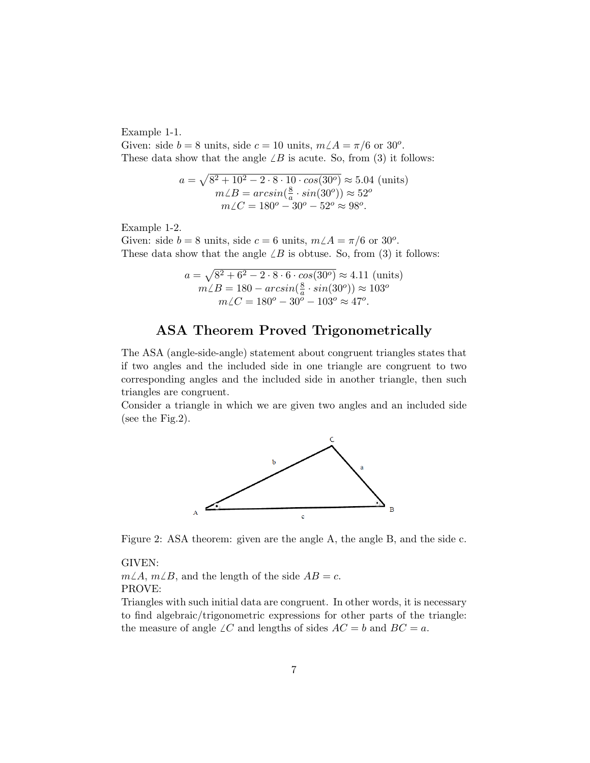Example 1-1.

Given: side  $b = 8$  units, side  $c = 10$  units,  $m\angle A = \pi/6$  or 30<sup>o</sup>. These data show that the angle  $\angle B$  is acute. So, from (3) it follows:

$$
a = \sqrt{8^2 + 10^2 - 2 \cdot 8 \cdot 10 \cdot \cos(30^\circ)} \approx 5.04 \text{ (units)}
$$
  

$$
m\angle B = \arcsin(\frac{8}{a} \cdot \sin(30^\circ)) \approx 52^\circ
$$
  

$$
m\angle C = 180^\circ - 30^\circ - 52^\circ \approx 98^\circ.
$$

Example 1-2.

Given: side  $b = 8$  units, side  $c = 6$  units,  $m\angle A = \pi/6$  or 30<sup>o</sup>. These data show that the angle  $\angle B$  is obtuse. So, from (3) it follows:

$$
a = \sqrt{8^2 + 6^2 - 2 \cdot 8 \cdot 6 \cdot \cos(30^\circ)} \approx 4.11 \text{ (units)}
$$
  

$$
m\angle B = 180 - \arcsin(\frac{8}{a} \cdot \sin(30^\circ)) \approx 103^\circ
$$
  

$$
m\angle C = 180^\circ - 30^\circ - 103^\circ \approx 47^\circ.
$$

# ASA Theorem Proved Trigonometrically

The ASA (angle-side-angle) statement about congruent triangles states that if two angles and the included side in one triangle are congruent to two corresponding angles and the included side in another triangle, then such triangles are congruent.

Consider a triangle in which we are given two angles and an included side (see the Fig.2).



Figure 2: ASA theorem: given are the angle A, the angle B, and the side c.

GIVEN:

 $m\angle A$ ,  $m\angle B$ , and the length of the side  $AB = c$ . PROVE:

Triangles with such initial data are congruent. In other words, it is necessary to find algebraic/trigonometric expressions for other parts of the triangle: the measure of angle  $\angle C$  and lengths of sides  $AC = b$  and  $BC = a$ .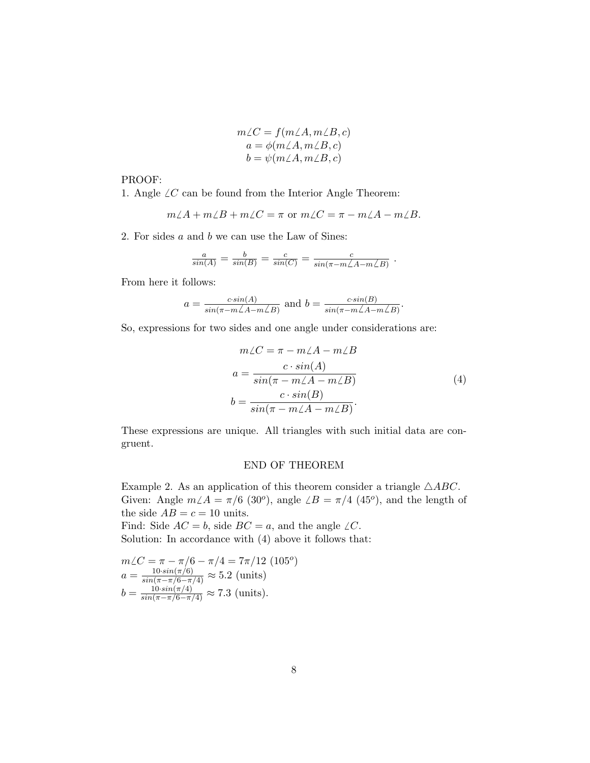$$
m\angle C = f(m\angle A, m\angle B, c)
$$
  
\n
$$
a = \phi(m\angle A, m\angle B, c)
$$
  
\n
$$
b = \psi(m\angle A, m\angle B, c)
$$

PROOF:

1. Angle  $\angle C$  can be found from the Interior Angle Theorem:

$$
m\angle A + m\angle B + m\angle C = \pi \text{ or } m\angle C = \pi - m\angle A - m\angle B.
$$

2. For sides a and b we can use the Law of Sines:

$$
\frac{a}{\sin(A)} = \frac{b}{\sin(B)} = \frac{c}{\sin(C)} = \frac{c}{\sin(\pi - m\angle A - m\angle B)}.
$$

From here it follows:

$$
a = \frac{c \sin(A)}{\sin(\pi - m\angle A - m\angle B)}
$$
 and  $b = \frac{c \sin(B)}{\sin(\pi - m\angle A - m\angle B)}$ 

So, expressions for two sides and one angle under considerations are:

$$
m\angle C = \pi - m\angle A - m\angle B
$$
  
\n
$$
a = \frac{c \cdot \sin(A)}{\sin(\pi - m\angle A - m\angle B)}
$$
  
\n
$$
b = \frac{c \cdot \sin(B)}{\sin(\pi - m\angle A - m\angle B)}.
$$
  
\n(4)

.

These expressions are unique. All triangles with such initial data are congruent.

#### END OF THEOREM

Example 2. As an application of this theorem consider a triangle  $\triangle ABC$ . Given: Angle  $m\angle A = \pi/6$  (30<sup>o</sup>), angle  $\angle B = \pi/4$  (45<sup>o</sup>), and the length of the side  $AB = c = 10$  units.

Find: Side  $AC = b$ , side  $BC = a$ , and the angle  $\angle C$ . Solution: In accordance with (4) above it follows that:

$$
m\angle C = \pi - \pi/6 - \pi/4 = 7\pi/12 \text{ (105°)}
$$
  
\n
$$
a = \frac{10 \cdot \sin(\pi/6)}{\sin(\pi - \pi/6 - \pi/4)} \approx 5.2 \text{ (units)}
$$
  
\n
$$
b = \frac{10 \cdot \sin(\pi/4)}{\sin(\pi - \pi/6 - \pi/4)} \approx 7.3 \text{ (units)}.
$$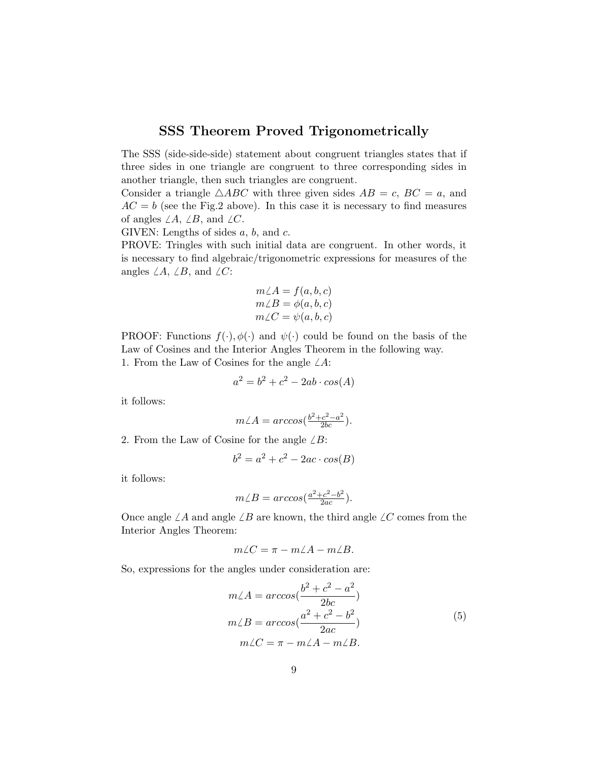## SSS Theorem Proved Trigonometrically

The SSS (side-side-side) statement about congruent triangles states that if three sides in one triangle are congruent to three corresponding sides in another triangle, then such triangles are congruent.

Consider a triangle  $\triangle ABC$  with three given sides  $AB = c$ ,  $BC = a$ , and  $AC = b$  (see the Fig.2 above). In this case it is necessary to find measures of angles  $\angle A$ ,  $\angle B$ , and  $\angle C$ .

GIVEN: Lengths of sides  $a, b$ , and  $c$ .

PROVE: Tringles with such initial data are congruent. In other words, it is necessary to find algebraic/trigonometric expressions for measures of the angles  $\angle A$ ,  $\angle B$ , and  $\angle C$ :

$$
m\angle A = f(a, b, c)
$$
  
\n
$$
m\angle B = \phi(a, b, c)
$$
  
\n
$$
m\angle C = \psi(a, b, c)
$$

PROOF: Functions  $f(\cdot), \phi(\cdot)$  and  $\psi(\cdot)$  could be found on the basis of the Law of Cosines and the Interior Angles Theorem in the following way. 1. From the Law of Cosines for the angle  $\angle A$ :

$$
a^2 = b^2 + c^2 - 2ab \cdot \cos(A)
$$

it follows:

$$
m\angle A = \arccos\left(\frac{b^2 + c^2 - a^2}{2bc}\right).
$$

2. From the Law of Cosine for the angle  $\angle B$ :

$$
b^2 = a^2 + c^2 - 2ac \cdot cos(B)
$$

it follows:

$$
m\angle B = \arccos(\frac{a^2 + c^2 - b^2}{2ac}).
$$

Once angle  $\angle A$  and angle  $\angle B$  are known, the third angle  $\angle C$  comes from the Interior Angles Theorem:

$$
m\angle C = \pi - m\angle A - m\angle B.
$$

So, expressions for the angles under consideration are:

$$
m\angle A = \arccos(\frac{b^2 + c^2 - a^2}{2bc})
$$
  
\n
$$
m\angle B = \arccos(\frac{a^2 + c^2 - b^2}{2ac})
$$
  
\n
$$
m\angle C = \pi - m\angle A - m\angle B.
$$
\n(5)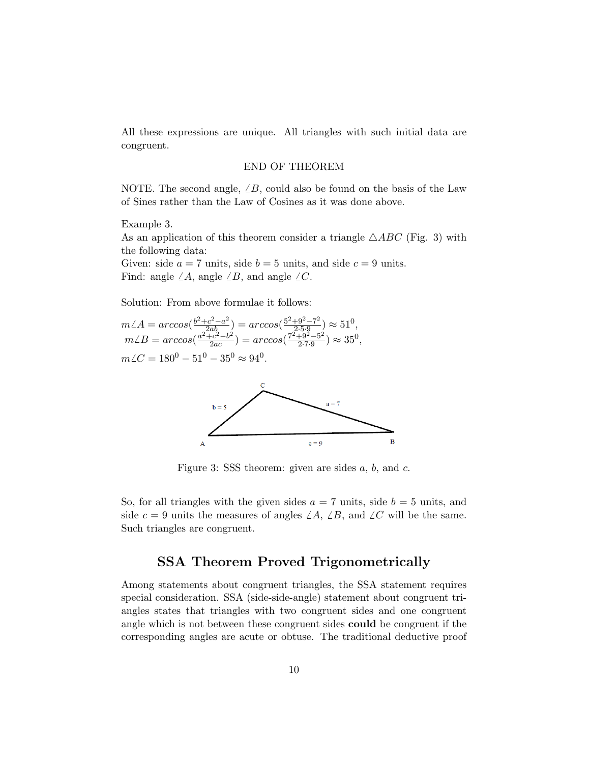All these expressions are unique. All triangles with such initial data are congruent.

#### END OF THEOREM

NOTE. The second angle,  $\angle B$ , could also be found on the basis of the Law of Sines rather than the Law of Cosines as it was done above.

Example 3.

As an application of this theorem consider a triangle  $\triangle ABC$  (Fig. 3) with the following data:

Given: side  $a = 7$  units, side  $b = 5$  units, and side  $c = 9$  units. Find: angle  $\angle A$ , angle  $\angle B$ , and angle  $\angle C$ .

Solution: From above formulae it follows:

$$
m\angle A = \arccos(\frac{b^2 + c^2 - a^2}{2ab}) = \arccos(\frac{5^2 + 9^2 - 7^2}{2 \cdot 5 \cdot 9}) \approx 51^0,
$$
  
\n
$$
m\angle B = \arccos(\frac{a^2 + c^2 - b^2}{2ac}) = \arccos(\frac{7^2 + 9^2 - 5^2}{2 \cdot 7 \cdot 9}) \approx 35^0,
$$
  
\n
$$
m\angle C = 180^0 - 51^0 - 35^0 \approx 94^0.
$$



Figure 3: SSS theorem: given are sides  $a, b$ , and  $c$ .

So, for all triangles with the given sides  $a = 7$  units, side  $b = 5$  units, and side  $c = 9$  units the measures of angles  $\angle A$ ,  $\angle B$ , and  $\angle C$  will be the same. Such triangles are congruent.

### SSA Theorem Proved Trigonometrically

Among statements about congruent triangles, the SSA statement requires special consideration. SSA (side-side-angle) statement about congruent triangles states that triangles with two congruent sides and one congruent angle which is not between these congruent sides could be congruent if the corresponding angles are acute or obtuse. The traditional deductive proof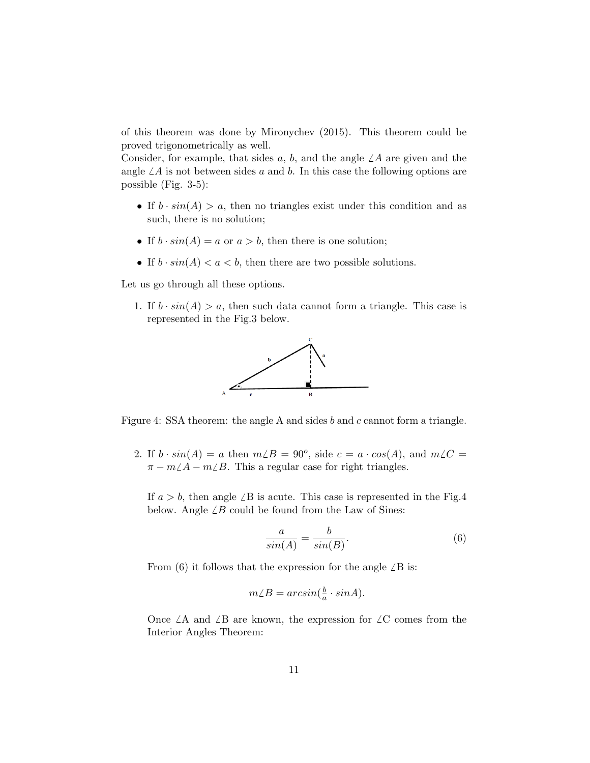of this theorem was done by Mironychev (2015). This theorem could be proved trigonometrically as well.

Consider, for example, that sides a, b, and the angle  $\angle A$  are given and the angle  $\angle A$  is not between sides a and b. In this case the following options are possible (Fig. 3-5):

- If  $b \cdot sin(A) > a$ , then no triangles exist under this condition and as such, there is no solution;
- If  $b \cdot \sin(A) = a$  or  $a > b$ , then there is one solution;
- If  $b \cdot \sin(A) < a < b$ , then there are two possible solutions.

Let us go through all these options.

1. If  $b \cdot \sin(A) > a$ , then such data cannot form a triangle. This case is represented in the Fig.3 below.



Figure 4: SSA theorem: the angle A and sides b and c cannot form a triangle.

2. If  $b \cdot \sin(A) = a$  then  $m \angle B = 90^{\circ}$ , side  $c = a \cdot \cos(A)$ , and  $m \angle C =$  $\pi - m\angle A - m\angle B$ . This a regular case for right triangles.

If  $a > b$ , then angle  $\angle B$  is acute. This case is represented in the Fig.4 below. Angle  $\angle B$  could be found from the Law of Sines:

$$
\frac{a}{\sin(A)} = \frac{b}{\sin(B)}.\tag{6}
$$

From (6) it follows that the expression for the angle  $\angle B$  is:

$$
m\angle B = \arcsin\left(\frac{b}{a} \cdot \sin A\right).
$$

Once  $\angle A$  and  $\angle B$  are known, the expression for  $\angle C$  comes from the Interior Angles Theorem: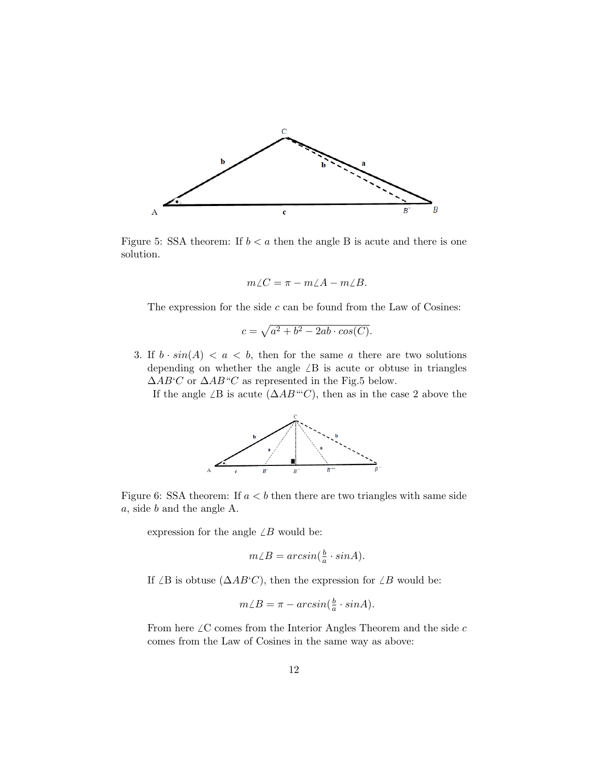

Figure 5: SSA theorem: If  $b < a$  then the angle B is acute and there is one solution.

$$
m\angle C = \pi - m\angle A - m\angle B.
$$

The expression for the side  $c$  can be found from the Law of Cosines:

$$
c = \sqrt{a^2 + b^2 - 2ab \cdot \cos(C)}.
$$

3. If  $b \cdot \sin(A) < a < b$ , then for the same a there are two solutions depending on whether the angle  $\angle B$  is acute or obtuse in triangles  $\triangle AB'C$  or  $\triangle AB''C$  as represented in the Fig.5 below.

If the angle  $\angle B$  is acute  $(\triangle AB^{\omega}C)$ , then as in the case 2 above the



Figure 6: SSA theorem: If  $a < b$  then there are two triangles with same side a, side b and the angle A.

expression for the angle  $\angle B$  would be:

$$
m\angle B = \arcsin\left(\frac{b}{a} \cdot \sin A\right).
$$

If ∠B is obtuse  $(\Delta AB^{\epsilon}C)$ , then the expression for ∠B would be:

$$
m\angle B = \pi - \arcsin(\frac{b}{a} \cdot \sin A).
$$

From here  $\angle {\bf C}$  comes from the Interior Angles Theorem and the side  $c$ comes from the Law of Cosines in the same way as above: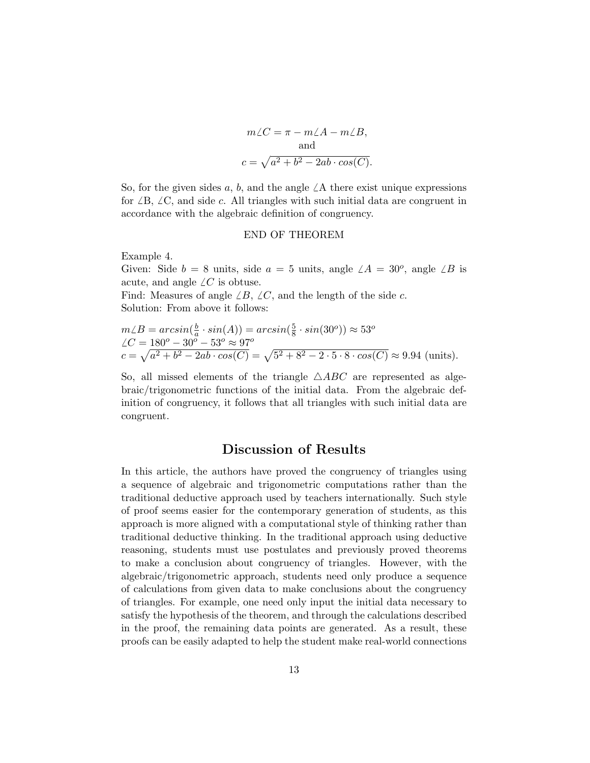$$
m\angle C = \pi - m\angle A - m\angle B,
$$
  
and  

$$
c = \sqrt{a^2 + b^2 - 2ab \cdot cos(C)}.
$$

So, for the given sides a, b, and the angle  $\angle A$  there exist unique expressions for  $\angle B$ ,  $\angle C$ , and side c. All triangles with such initial data are congruent in accordance with the algebraic definition of congruency.

#### END OF THEOREM

Example 4.

Given: Side  $b = 8$  units, side  $a = 5$  units, angle  $\angle A = 30^{\circ}$ , angle  $\angle B$  is acute, and angle  $\angle C$  is obtuse.

Find: Measures of angle  $\angle B$ ,  $\angle C$ , and the length of the side c. Solution: From above it follows:

$$
m\angle B = \arcsin(\frac{b}{a} \cdot \sin(A)) = \arcsin(\frac{5}{8} \cdot \sin(30^o)) \approx 53^o
$$
  
 
$$
\angle C = 180^o - 30^o - 53^o \approx 97^o
$$
  
 
$$
c = \sqrt{a^2 + b^2 - 2ab \cdot \cos(C)} = \sqrt{5^2 + 8^2 - 2 \cdot 5 \cdot 8 \cdot \cos(C)} \approx 9.94 \text{ (units)}.
$$

So, all missed elements of the triangle  $\triangle ABC$  are represented as algebraic/trigonometric functions of the initial data. From the algebraic definition of congruency, it follows that all triangles with such initial data are congruent.

### Discussion of Results

In this article, the authors have proved the congruency of triangles using a sequence of algebraic and trigonometric computations rather than the traditional deductive approach used by teachers internationally. Such style of proof seems easier for the contemporary generation of students, as this approach is more aligned with a computational style of thinking rather than traditional deductive thinking. In the traditional approach using deductive reasoning, students must use postulates and previously proved theorems to make a conclusion about congruency of triangles. However, with the algebraic/trigonometric approach, students need only produce a sequence of calculations from given data to make conclusions about the congruency of triangles. For example, one need only input the initial data necessary to satisfy the hypothesis of the theorem, and through the calculations described in the proof, the remaining data points are generated. As a result, these proofs can be easily adapted to help the student make real-world connections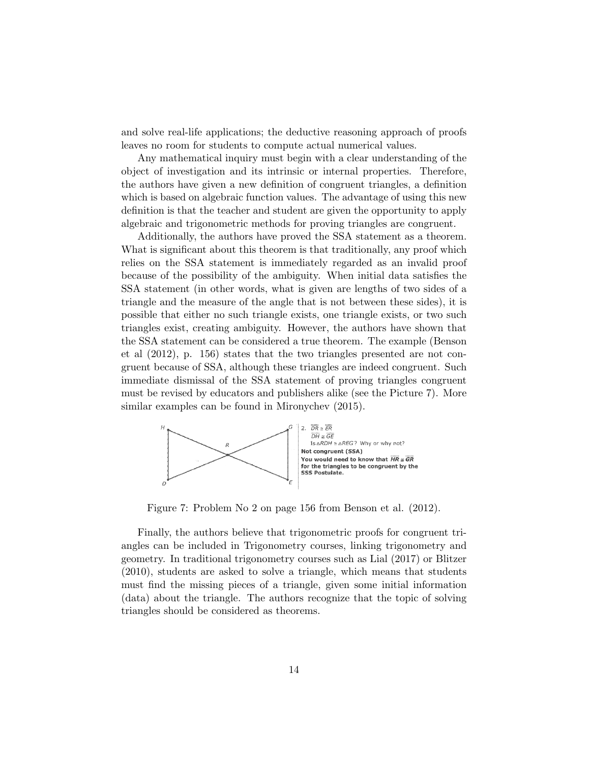and solve real-life applications; the deductive reasoning approach of proofs leaves no room for students to compute actual numerical values.

Any mathematical inquiry must begin with a clear understanding of the object of investigation and its intrinsic or internal properties. Therefore, the authors have given a new definition of congruent triangles, a definition which is based on algebraic function values. The advantage of using this new definition is that the teacher and student are given the opportunity to apply algebraic and trigonometric methods for proving triangles are congruent.

Additionally, the authors have proved the SSA statement as a theorem. What is significant about this theorem is that traditionally, any proof which relies on the SSA statement is immediately regarded as an invalid proof because of the possibility of the ambiguity. When initial data satisfies the SSA statement (in other words, what is given are lengths of two sides of a triangle and the measure of the angle that is not between these sides), it is possible that either no such triangle exists, one triangle exists, or two such triangles exist, creating ambiguity. However, the authors have shown that the SSA statement can be considered a true theorem. The example (Benson et al (2012), p. 156) states that the two triangles presented are not congruent because of SSA, although these triangles are indeed congruent. Such immediate dismissal of the SSA statement of proving triangles congruent must be revised by educators and publishers alike (see the Picture 7). More similar examples can be found in Mironychev (2015).



Figure 7: Problem No 2 on page 156 from Benson et al. (2012).

Finally, the authors believe that trigonometric proofs for congruent triangles can be included in Trigonometry courses, linking trigonometry and geometry. In traditional trigonometry courses such as Lial (2017) or Blitzer (2010), students are asked to solve a triangle, which means that students must find the missing pieces of a triangle, given some initial information (data) about the triangle. The authors recognize that the topic of solving triangles should be considered as theorems.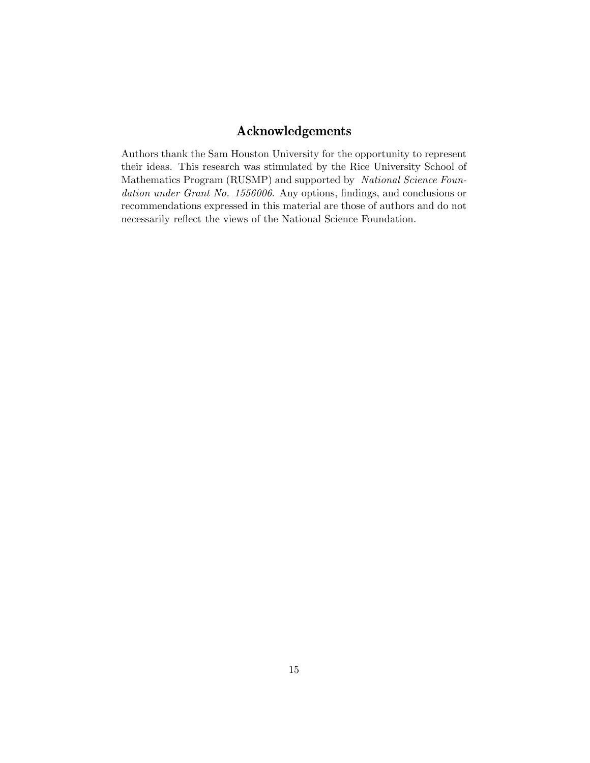# Acknowledgements

Authors thank the Sam Houston University for the opportunity to represent their ideas. This research was stimulated by the Rice University School of Mathematics Program (RUSMP) and supported by National Science Foundation under Grant No. 1556006. Any options, findings, and conclusions or recommendations expressed in this material are those of authors and do not necessarily reflect the views of the National Science Foundation.